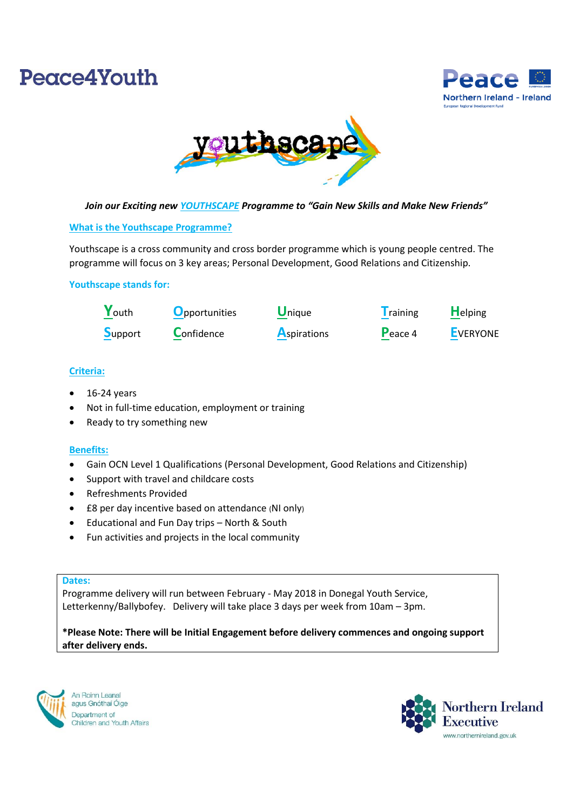# Peace4Youth





*Join our Exciting new YOUTHSCAPE Programme to "Gain New Skills and Make New Friends"*

# **What is the Youthscape Programme?**

Youthscape is a cross community and cross border programme which is young people centred. The programme will focus on 3 key areas; Personal Development, Good Relations and Citizenship.

# **Youthscape stands for:**

| Youth   | <b>O</b> pportunities | <b>Unique</b>      | <b>T</b> raining | <b>Helping</b>  |
|---------|-----------------------|--------------------|------------------|-----------------|
| Support | Confidence            | <b>Aspirations</b> | Peace 4          | <b>EVERYONE</b> |

# **Criteria:**

- 16-24 years
- Not in full-time education, employment or training
- Ready to try something new

#### **Benefits:**

- Gain OCN Level 1 Qualifications (Personal Development, Good Relations and Citizenship)
- Support with travel and childcare costs
- Refreshments Provided
- £8 per day incentive based on attendance (NI only)
- Educational and Fun Day trips North & South
- Fun activities and projects in the local community

#### **Dates:**

Programme delivery will run between February - May 2018 in Donegal Youth Service, Letterkenny/Ballybofey. Delivery will take place 3 days per week from 10am – 3pm.

**\*Please Note: There will be Initial Engagement before delivery commences and ongoing support after delivery ends.**



An Roinn Leana agus Gnóthaí Óige Department of Children and Youth Affairs